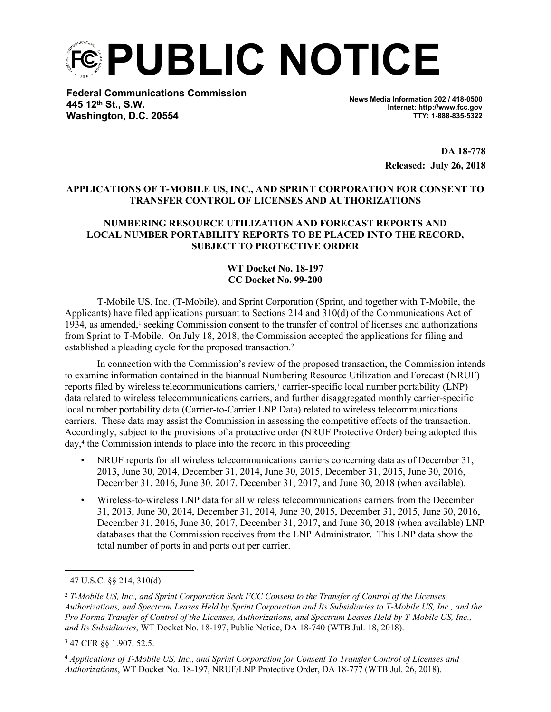**PUBLIC NOTICE**

**Federal Communications Commission 445 12th St., S.W. Washington, D.C. 20554**

**News Media Information 202 / 418-0500 Internet: http://www.fcc.gov TTY: 1-888-835-5322**

> **DA 18-778 Released: July 26, 2018**

## **APPLICATIONS OF T-MOBILE US, INC., AND SPRINT CORPORATION FOR CONSENT TO TRANSFER CONTROL OF LICENSES AND AUTHORIZATIONS**

## **NUMBERING RESOURCE UTILIZATION AND FORECAST REPORTS AND LOCAL NUMBER PORTABILITY REPORTS TO BE PLACED INTO THE RECORD, SUBJECT TO PROTECTIVE ORDER**

## **WT Docket No. 18-197 CC Docket No. 99-200**

T-Mobile US, Inc. (T-Mobile), and Sprint Corporation (Sprint, and together with T-Mobile, the Applicants) have filed applications pursuant to Sections 214 and 310(d) of the Communications Act of 1934, as amended,<sup>1</sup> seeking Commission consent to the transfer of control of licenses and authorizations from Sprint to T-Mobile. On July 18, 2018, the Commission accepted the applications for filing and established a pleading cycle for the proposed transaction.<sup>2</sup>

In connection with the Commission's review of the proposed transaction, the Commission intends to examine information contained in the biannual Numbering Resource Utilization and Forecast (NRUF) reports filed by wireless telecommunications carriers,<sup>3</sup> carrier-specific local number portability (LNP) data related to wireless telecommunications carriers, and further disaggregated monthly carrier-specific local number portability data (Carrier-to-Carrier LNP Data) related to wireless telecommunications carriers. These data may assist the Commission in assessing the competitive effects of the transaction. Accordingly, subject to the provisions of a protective order (NRUF Protective Order) being adopted this day,<sup>4</sup> the Commission intends to place into the record in this proceeding:

- NRUF reports for all wireless telecommunications carriers concerning data as of December 31, 2013, June 30, 2014, December 31, 2014, June 30, 2015, December 31, 2015, June 30, 2016, December 31, 2016, June 30, 2017, December 31, 2017, and June 30, 2018 (when available).
- Wireless-to-wireless LNP data for all wireless telecommunications carriers from the December 31, 2013, June 30, 2014, December 31, 2014, June 30, 2015, December 31, 2015, June 30, 2016, December 31, 2016, June 30, 2017, December 31, 2017, and June 30, 2018 (when available) LNP databases that the Commission receives from the LNP Administrator. This LNP data show the total number of ports in and ports out per carrier.

 $147$  U.S.C. §§ 214, 310(d).

<sup>2</sup> *T-Mobile US, Inc., and Sprint Corporation Seek FCC Consent to the Transfer of Control of the Licenses,* Authorizations, and Spectrum Leases Held by Sprint Corporation and Its Subsidiaries to T-Mobile US, Inc., and the Pro Forma Transfer of Control of the Licenses, Authorizations, and Spectrum Leases Held by T-Mobile US, Inc., *and Its Subsidiaries*, WT Docket No. 18-197, Public Notice, DA 18-740 (WTB Jul. 18, 2018).

<sup>3</sup> 47 CFR §§ 1.907, 52.5.

<sup>4</sup> *Applications of T-Mobile US, Inc., and Sprint Corporation for Consent To Transfer Control of Licenses and Authorizations*, WT Docket No. 18-197, NRUF/LNP Protective Order, DA 18-777 (WTB Jul. 26, 2018).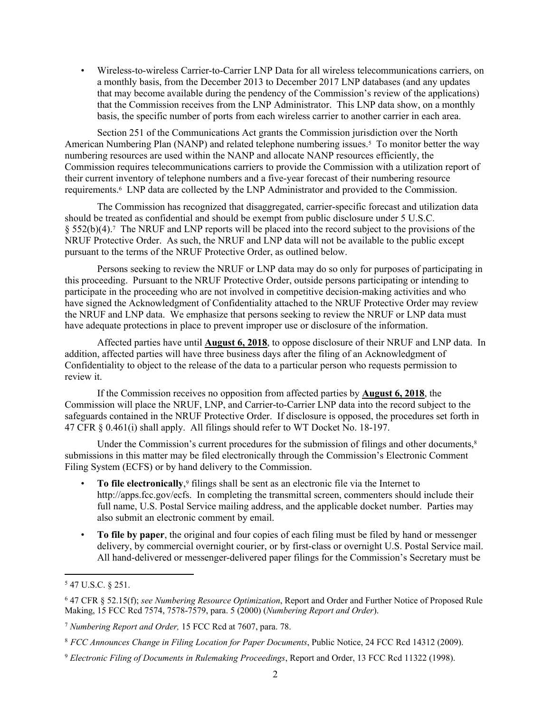• Wireless-to-wireless Carrier-to-Carrier LNP Data for all wireless telecommunications carriers, on a monthly basis, from the December 2013 to December 2017 LNP databases (and any updates that may become available during the pendency of the Commission's review of the applications) that the Commission receives from the LNP Administrator. This LNP data show, on a monthly basis, the specific number of ports from each wireless carrier to another carrier in each area.

Section 251 of the Communications Act grants the Commission jurisdiction over the North American Numbering Plan (NANP) and related telephone numbering issues.<sup>5</sup> To monitor better the way numbering resources are used within the NANP and allocate NANP resources efficiently, the Commission requires telecommunications carriers to provide the Commission with a utilization report of their current inventory of telephone numbers and a five-year forecast of their numbering resource requirements.<sup>6</sup> LNP data are collected by the LNP Administrator and provided to the Commission.

The Commission has recognized that disaggregated, carrier-specific forecast and utilization data should be treated as confidential and should be exempt from public disclosure under 5 U.S.C. § 552(b)(4).<sup>7</sup> The NRUF and LNP reports will be placed into the record subject to the provisions of the NRUF Protective Order. As such, the NRUF and LNP data will not be available to the public except pursuant to the terms of the NRUF Protective Order, as outlined below.

Persons seeking to review the NRUF or LNP data may do so only for purposes of participating in this proceeding. Pursuant to the NRUF Protective Order, outside persons participating or intending to participate in the proceeding who are not involved in competitive decision-making activities and who have signed the Acknowledgment of Confidentiality attached to the NRUF Protective Order may review the NRUF and LNP data. We emphasize that persons seeking to review the NRUF or LNP data must have adequate protections in place to prevent improper use or disclosure of the information.

Affected parties have until **August 6, 2018**, to oppose disclosure of their NRUF and LNP data. In addition, affected parties will have three business days after the filing of an Acknowledgment of Confidentiality to object to the release of the data to a particular person who requests permission to review it.

If the Commission receives no opposition from affected parties by **August 6, 2018**, the Commission will place the NRUF, LNP, and Carrier-to-Carrier LNP data into the record subject to the safeguards contained in the NRUF Protective Order. If disclosure is opposed, the procedures set forth in 47 CFR § 0.461(i) shall apply. All filings should refer to WT Docket No. 18-197.

Under the Commission's current procedures for the submission of filings and other documents,<sup>8</sup> submissions in this matter may be filed electronically through the Commission's Electronic Comment Filing System (ECFS) or by hand delivery to the Commission.

- **To file electronically**, 9 filings shall be sent as an electronic file via the Internet to http://apps.fcc.gov/ecfs. In completing the transmittal screen, commenters should include their full name, U.S. Postal Service mailing address, and the applicable docket number. Parties may also submit an electronic comment by email.
- **To file by paper**, the original and four copies of each filing must be filed by hand or messenger delivery, by commercial overnight courier, or by first-class or overnight U.S. Postal Service mail. All hand-delivered or messenger-delivered paper filings for the Commission's Secretary must be

<sup>5</sup> 47 U.S.C. § 251.

<sup>6</sup> 47 CFR § 52.15(f); *see Numbering Resource Optimization*, Report and Order and Further Notice of Proposed Rule Making, 15 FCC Rcd 7574, 7578-7579, para. 5 (2000) (*Numbering Report and Order*).

<sup>7</sup> *Numbering Report and Order,* 15 FCC Rcd at 7607, para. 78.

<sup>8</sup> *FCC Announces Change in Filing Location for Paper Documents*, Public Notice, 24 FCC Rcd 14312 (2009).

<sup>9</sup> *Electronic Filing of Documents in Rulemaking Proceedings*, Report and Order, 13 FCC Rcd 11322 (1998).